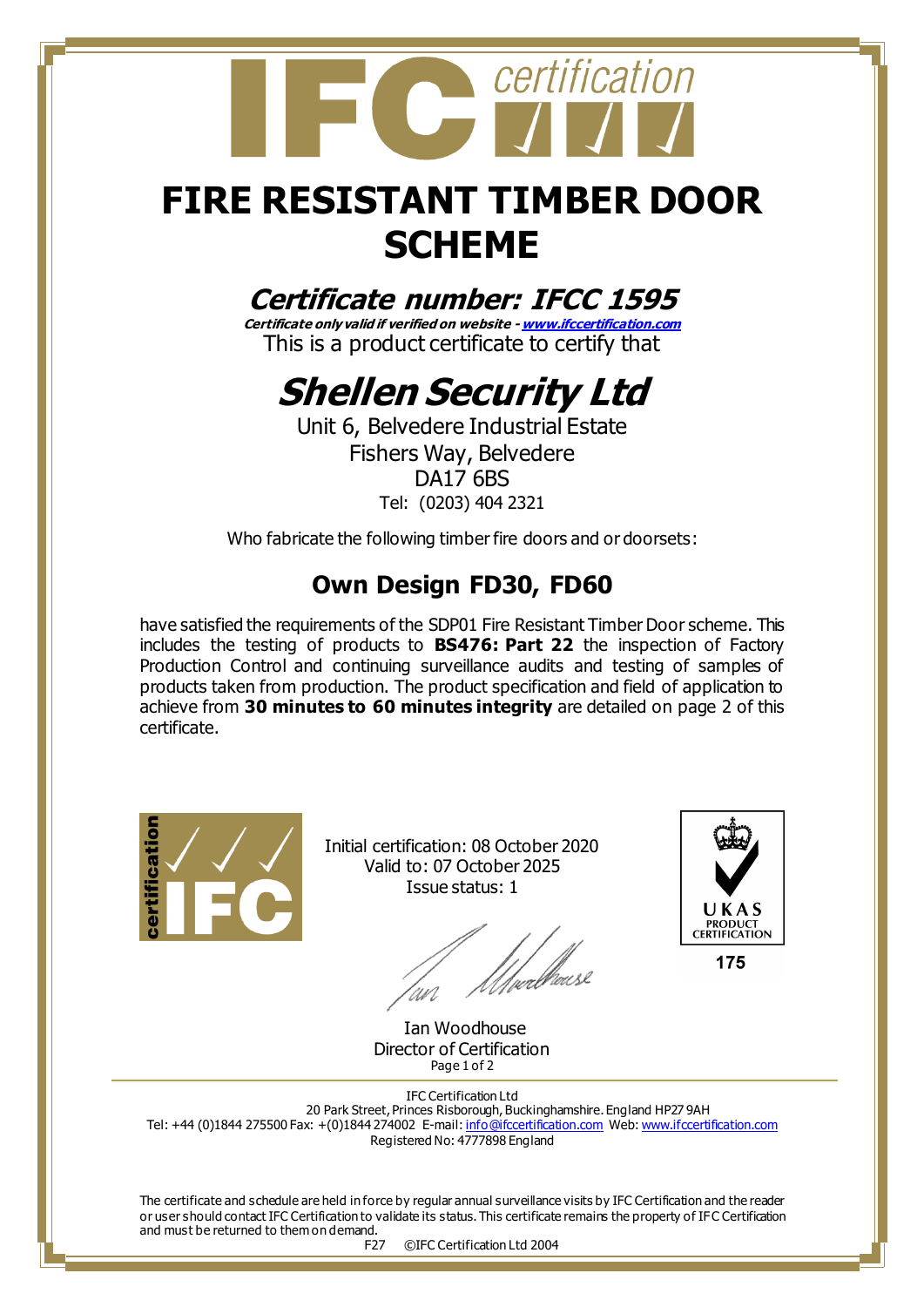

## **FIRE RESISTANT TIMBER DOOR SCHEME**

## **Certificate number: IFCC 1595**

**Certificate only valid if verified on website - [www.ifccertification.com](http://www.ifccertification.com/)** This is a product certificate to certify that

## **Shellen Security Ltd**

Unit 6, Belvedere Industrial Estate Fishers Way, Belvedere DA17 6BS Tel: (0203) 404 2321

Who fabricate the following timber fire doors and or doorsets:

## **Own Design FD30, FD60**

have satisfied the requirements of the SDP01 Fire Resistant Timber Door scheme. This includes the testing of products to **BS476: Part 22** the inspection of Factory Production Control and continuing surveillance audits and testing of samples of products taken from production. The product specification and field of application to achieve from **30 minutes to 60 minutes integrity** are detailed on page 2 of this certificate.



Initial certification: 08 October 2020 Valid to: 07 October 2025 Issue status: 1

t<br>t<sub>v</sub>erell<sup>ik</sup>vusl 'nn



 Ian Woodhouse Director of Certification Page 1 of 2

IFC Certification Ltd 20 Park Street, Princes Risborough, Buckinghamshire. England HP27 9AH Tel: +44 (0)1844 275500 Fax: +(0)1844 274002 E-mail[: info@ifccertification.com](mailto:info@ifccertification.com) Web[: www.ifccertification.com](http://www.ifccertification.com/) Registered No: 4777898 England

The certificate and schedule are held in force by regular annual surveillance visits by IFC Certification and the reader or user should contact IFC Certification to validate its status. This certificate remains the property of IFC Certification and must be returned to them on demand.

F27 ©IFC Certification Ltd 2004